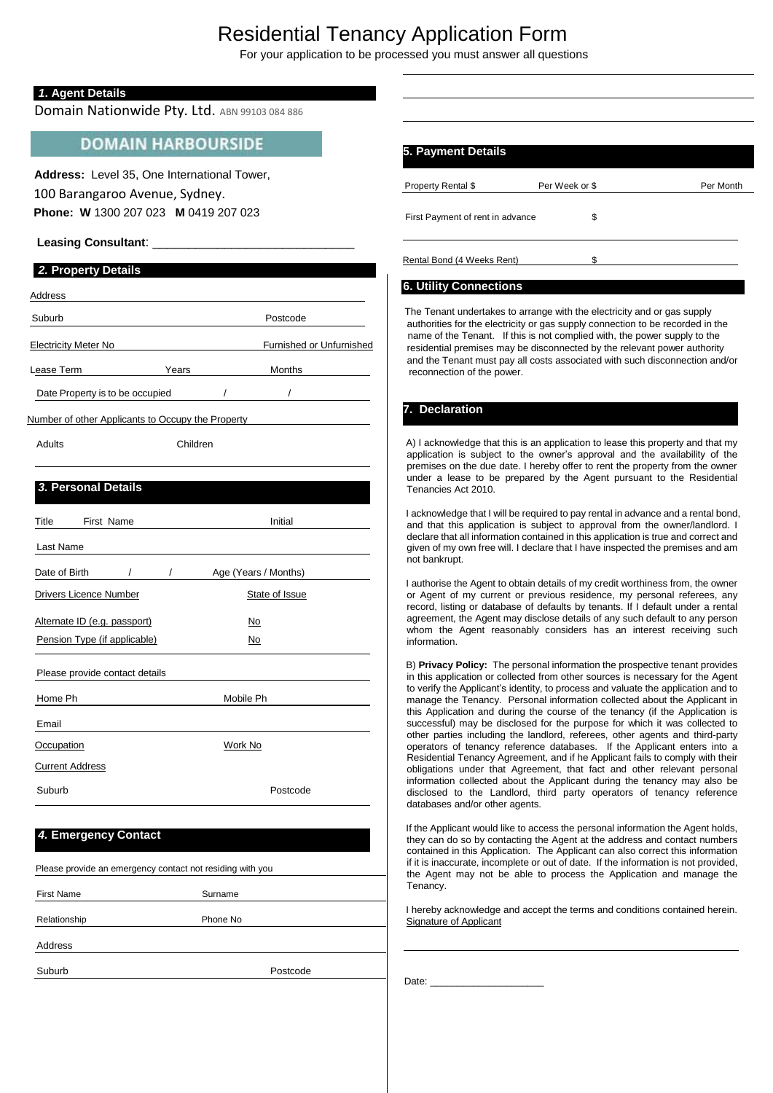# Residential Tenancy Application Form

For your application to be processed you must answer all questions

#### *1***. Agent Details**

Domain Nationwide Pty. Ltd. ABN 99103 084 886

### **DOMAIN HARBOURSIDE**

 **Address:** Level 35, One International Tower, 100 Barangaroo Avenue, Sydney. **Phone: W** 1300 207 023 **M** 0419 207 023

#### Leasing Consultant: \_

#### *2.* **Property Details**

| Address                     |       |                          |
|-----------------------------|-------|--------------------------|
| Suburb                      |       | Postcode                 |
| <b>Electricity Meter No</b> |       | Furnished or Unfurnished |
| Lease Term                  | Years | <b>Months</b>            |

Date Property is to be occupied

Number of other Applicants to Occupy the Property

Adults Children

#### *3.* **Personal Details**

| Title                        | First Name                     |          | Initial              |  |
|------------------------------|--------------------------------|----------|----------------------|--|
| Last Name                    |                                |          |                      |  |
| Date of Birth                |                                | $\prime$ | Age (Years / Months) |  |
|                              | <b>Drivers Licence Number</b>  |          | State of Issue       |  |
| Alternate ID (e.g. passport) |                                |          | No                   |  |
| Pension Type (if applicable) |                                |          | No                   |  |
|                              | Please provide contact details |          |                      |  |
| Home Ph                      |                                |          | Mobile Ph            |  |
| Email                        |                                |          |                      |  |
| <b>Occupation</b>            |                                |          | Work No              |  |
| <b>Current Address</b>       |                                |          |                      |  |
| Suburb                       |                                |          | Postcode             |  |

#### *4.* **Emergency Contact**

| Please provide an emergency contact not residing with you |          |  |
|-----------------------------------------------------------|----------|--|
| <b>First Name</b>                                         | Surname  |  |
|                                                           |          |  |
| Relationship                                              | Phone No |  |
| Address                                                   |          |  |
| Suburb                                                    | Postcode |  |
|                                                           |          |  |

| 5. Payment Details               |                |           |
|----------------------------------|----------------|-----------|
| Property Rental \$               | Per Week or \$ | Per Month |
| First Payment of rent in advance | \$             |           |
|                                  |                |           |

Rental Bond (4 Weeks Rent) \$

#### **6. Utility Connections**

The Tenant undertakes to arrange with the electricity and or gas supply authorities for the electricity or gas supply connection to be recorded in the name of the Tenant. If this is not complied with, the power supply to the residential premises may be disconnected by the relevant power authority and the Tenant must pay all costs associated with such disconnection and/or reconnection of the power.

#### **7. Declaration**

A) I acknowledge that this is an application to lease this property and that my application is subject to the owner's approval and the availability of the premises on the due date. I hereby offer to rent the property from the owner under a lease to be prepared by the Agent pursuant to the Residential Tenancies Act 2010.

I acknowledge that I will be required to pay rental in advance and a rental bond, and that this application is subject to approval from the owner/landlord. I declare that all information contained in this application is true and correct and given of my own free will. I declare that I have inspected the premises and am not bankrupt.

I authorise the Agent to obtain details of my credit worthiness from, the owner or Agent of my current or previous residence, my personal referees, any record, listing or database of defaults by tenants. If I default under a rental agreement, the Agent may disclose details of any such default to any person whom the Agent reasonably considers has an interest receiving such information.

B) **Privacy Policy:** The personal information the prospective tenant provides in this application or collected from other sources is necessary for the Agent to verify the Applicant's identity, to process and valuate the application and to manage the Tenancy. Personal information collected about the Applicant in this Application and during the course of the tenancy (if the Application is successful) may be disclosed for the purpose for which it was collected to other parties including the landlord, referees, other agents and third-party operators of tenancy reference databases. If the Applicant enters into a Residential Tenancy Agreement, and if he Applicant fails to comply with their obligations under that Agreement, that fact and other relevant personal information collected about the Applicant during the tenancy may also be disclosed to the Landlord, third party operators of tenancy reference databases and/or other agents.

If the Applicant would like to access the personal information the Agent holds, they can do so by contacting the Agent at the address and contact numbers contained in this Application. The Applicant can also correct this information if it is inaccurate, incomplete or out of date. If the information is not provided, the Agent may not be able to process the Application and manage the Tenancy.

I hereby acknowledge and accept the terms and conditions contained herein. Signature of Applicant

Date:  $\_$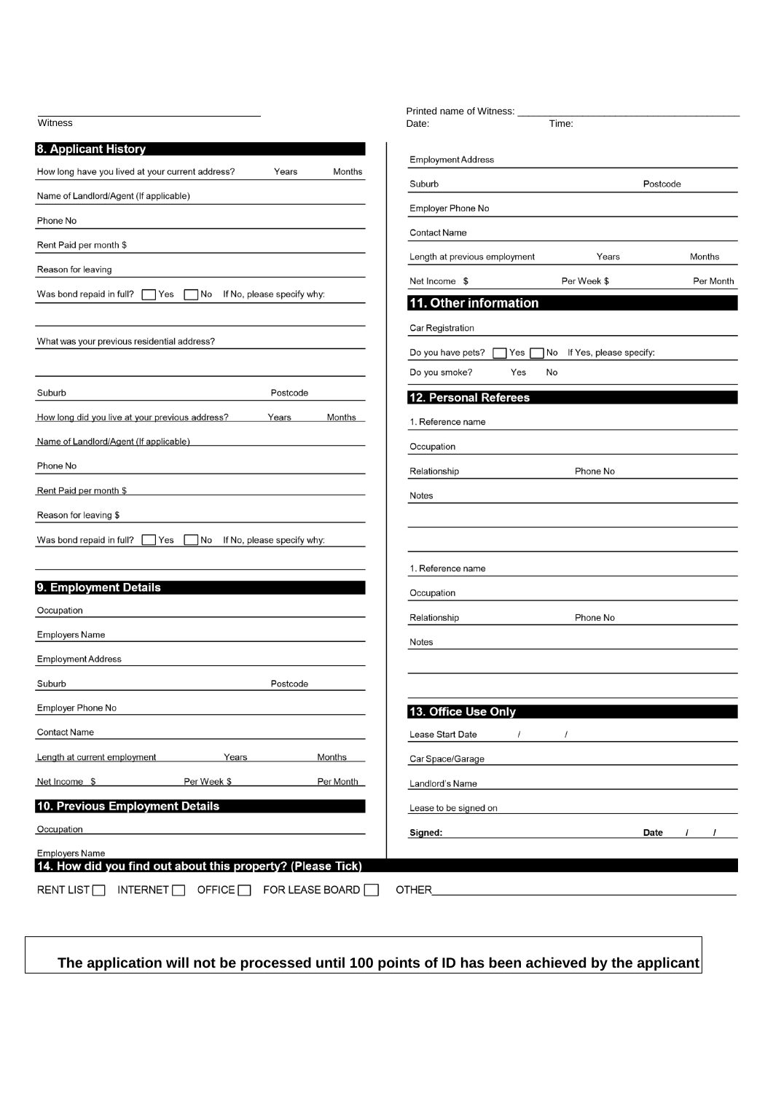| Witness                                                                              | Printed name of Witness:<br>Time:<br>Date:                |
|--------------------------------------------------------------------------------------|-----------------------------------------------------------|
|                                                                                      |                                                           |
| 8. Applicant History                                                                 | <b>Employment Address</b>                                 |
| How long have you lived at your current address?<br>Years<br>Months                  | Suburb<br>Postcode                                        |
| Name of Landlord/Agent (If applicable)                                               | Employer Phone No                                         |
| Phone No                                                                             | <b>Contact Name</b>                                       |
| Rent Paid per month \$                                                               | Length at previous employment<br>Years<br>Months          |
| Reason for leaving                                                                   | Per Week \$<br>Net Income \$<br>Per Month                 |
| Was bond repaid in full?<br>If No, please specify why:<br>Yes<br>  No                | 11. Other information                                     |
|                                                                                      | Car Registration                                          |
| What was your previous residential address?                                          | Do you have pets?<br>If Yes, please specify:<br>Yes<br>No |
|                                                                                      | Do you smoke?<br>Yes<br>No                                |
| Postcode<br>Suburb                                                                   | <b>12. Personal Referees</b>                              |
| How long did you live at your previous address?<br>Years<br><b>Months</b>            | 1. Reference name                                         |
| Name of Landlord/Agent (If applicable)                                               | Occupation                                                |
| Phone No                                                                             | Relationship<br>Phone No                                  |
| Rent Paid per month \$                                                               | Notes                                                     |
| Reason for leaving \$                                                                |                                                           |
| Was bond repaid in full?<br>If No, please specify why:<br>Yes<br>  No                |                                                           |
|                                                                                      |                                                           |
| 9. Employment Details                                                                | 1. Reference name                                         |
| Occupation                                                                           | Occupation                                                |
| <b>Employers Name</b>                                                                | Phone No<br>Relationship                                  |
| <b>Employment Address</b>                                                            | Notes                                                     |
| Suburb<br>Postcode                                                                   |                                                           |
| Employer Phone No                                                                    |                                                           |
| <b>Contact Name</b>                                                                  | 13. Office Use Only                                       |
|                                                                                      | Lease Start Date<br>$\prime$                              |
| Length at current employment<br>Years<br>Months                                      | Car Space/Garage                                          |
| Per Week \$<br>Per Month<br>Net Income \$                                            | Landlord's Name                                           |
| 10. Previous Employment Details                                                      | Lease to be signed on                                     |
| Occupation                                                                           | Date<br>Signed:<br>$\prime$                               |
| <b>Employers Name</b><br>14. How did you find out about this property? (Please Tick) |                                                           |
| RENT LIST <sup>[]</sup><br>INTERNET $\square$<br>OFFICE<br>FOR LEASE BOARD $\Box$    | OTHER                                                     |
|                                                                                      |                                                           |

**The application will not be processed until 100 points of ID has been achieved by the applicant**